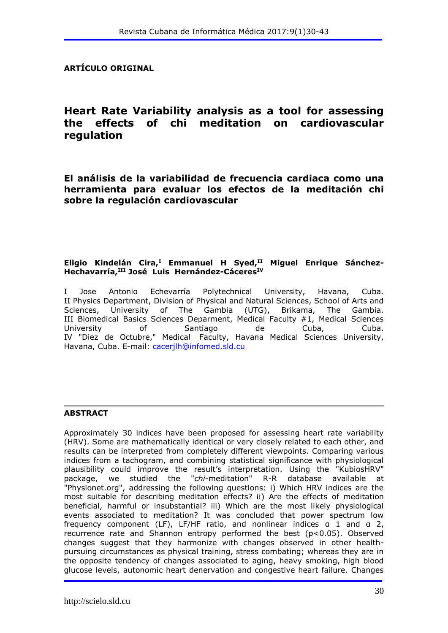#### **ARTÍCULO ORIGINAL**

# **Heart Rate Variability analysis as a tool for assessing the effects of chi meditation on cardiovascular regulation**

**El análisis de la variabilidad de frecuencia cardiaca como una herramienta para evaluar los efectos de la meditación chi sobre la regulación cardiovascular**

#### **Eligio Kindelán Cira,<sup>I</sup> Emmanuel H Syed,II Miguel Enrique Sánchez-Hechavarría,III José Luis Hernández-CáceresIV**

I Jose Antonio Echevarría Polytechnical University, Havana, Cuba. II Physics Department, Division of Physical and Natural Sciences, School of Arts and Sciences, University of The Gambia (UTG), Brikama, The Gambia. III Biomedical Basics Sciences Deparment, Medical Faculty #1, Medical Sciences University of Santiago de Cuba, Cuba. IV "Diez de Octubre," Medical Faculty, Havana Medical Sciences University, Havana, Cuba. E-mail: [cacerjlh@infomed.sld.cu](mailto:cacerjlh@infomed.sld.cu)

#### **ABSTRACT**

Approximately 30 indices have been proposed for assessing heart rate variability (HRV). Some are mathematically identical or very closely related to each other, and results can be interpreted from completely different viewpoints. Comparing various indices from a tachogram, and combining statistical significance with physiological plausibility could improve the result's interpretation. Using the "KubiosHRV" package, we studied the "*chi*-meditation" R-R database available at "Physionet.org", addressing the following questions: i) Which HRV indices are the most suitable for describing meditation effects? ii) Are the effects of meditation beneficial, harmful or insubstantial? iii) Which are the most likely physiological events associated to meditation? It was concluded that power spectrum low frequency component (LF), LF/HF ratio, and nonlinear indices a 1 and a 2, recurrence rate and Shannon entropy performed the best (p<0.05). Observed changes suggest that they harmonize with changes observed in other healthpursuing circumstances as physical training, stress combating; whereas they are in the opposite tendency of changes associated to aging, heavy smoking, high blood glucose levels, autonomic heart denervation and congestive heart failure. Changes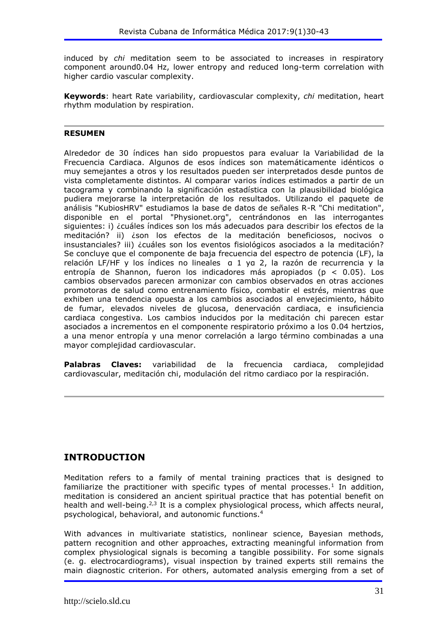induced by *chi* meditation seem to be associated to increases in respiratory component around0.04 Hz, lower entropy and reduced long-term correlation with higher cardio vascular complexity.

**Keywords**: heart Rate variability, cardiovascular complexity, *chi* meditation, heart rhythm modulation by respiration.

#### **RESUMEN**

Alrededor de 30 índices han sido propuestos para evaluar la Variabilidad de la Frecuencia Cardiaca. Algunos de esos índices son matemáticamente idénticos o muy semejantes a otros y los resultados pueden ser interpretados desde puntos de vista completamente distintos. Al comparar varios índices estimados a partir de un tacograma y combinando la significación estadística con la plausibilidad biológica pudiera mejorarse la interpretación de los resultados. Utilizando el paquete de análisis "KubiosHRV" estudiamos la base de datos de señales R-R "Chi meditation", disponible en el portal "Physionet.org", centrándonos en las interrogantes siguientes: i) ¿cuáles índices son los más adecuados para describir los efectos de la meditación? ii) ¿son los efectos de la meditación beneficiosos, nocivos o insustanciales? iii) ¿cuáles son los eventos fisiológicos asociados a la meditación? Se concluye que el componente de baja frecuencia del espectro de potencia (LF), la relación LF/HF y los índices no lineales α 1 yα 2, la razón de recurrencia y la entropía de Shannon, fueron los indicadores más apropiados (p < 0.05). Los cambios observados parecen armonizar con cambios observados en otras acciones promotoras de salud como entrenamiento físico, combatir el estrés, mientras que exhiben una tendencia opuesta a los cambios asociados al envejecimiento, hábito de fumar, elevados niveles de glucosa, denervación cardiaca, e insuficiencia cardiaca congestiva. Los cambios inducidos por la meditación chi parecen estar asociados a incrementos en el componente respiratorio próximo a los 0.04 hertzios, a una menor entropía y una menor correlación a largo término combinadas a una mayor complejidad cardiovascular.

**Palabras Claves:** variabilidad de la frecuencia cardiaca, complejidad cardiovascular, meditación chi, modulación del ritmo cardiaco por la respiración.

#### **INTRODUCTION**

Meditation refers to a family of mental training practices that is designed to familiarize the practitioner with specific types of mental processes.<sup>1</sup> In addition, meditation is considered an ancient spiritual practice that has potential benefit on health and well-being.<sup>2,3</sup> It is a complex physiological process, which affects neural, psychological, behavioral, and autonomic functions.<sup>4</sup>

With advances in multivariate statistics, nonlinear science, Bayesian methods, pattern recognition and other approaches, extracting meaningful information from complex physiological signals is becoming a tangible possibility. For some signals (e. g. electrocardiograms), visual inspection by trained experts still remains the main diagnostic criterion. For others, automated analysis emerging from a set of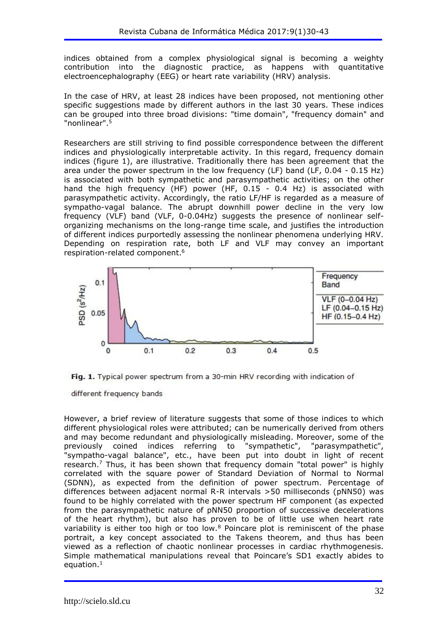indices obtained from a complex physiological signal is becoming a weighty contribution into the diagnostic practice, as happens with quantitative electroencephalography (EEG) or heart rate variability (HRV) analysis.

In the case of HRV, at least 28 indices have been proposed, not mentioning other specific suggestions made by different authors in the last 30 years. These indices can be grouped into three broad divisions: "time domain", "frequency domain" and "nonlinear".<sup>5</sup>

Researchers are still striving to find possible correspondence between the different indices and physiologically interpretable activity. In this regard, frequency domain indices (figure 1), are illustrative. Traditionally there has been agreement that the area under the power spectrum in the low frequency (LF) band (LF, 0.04 - 0.15 Hz) is associated with both sympathetic and parasympathetic activities; on the other hand the high frequency (HF) power (HF, 0.15 - 0.4 Hz) is associated with parasympathetic activity. Accordingly, the ratio LF/HF is regarded as a measure of sympatho-vagal balance. The abrupt downhill power decline in the very low frequency (VLF) band (VLF, 0-0.04Hz) suggests the presence of nonlinear selforganizing mechanisms on the long-range time scale, and justifies the introduction of different indices purportedly assessing the nonlinear phenomena underlying HRV. Depending on respiration rate, both LF and VLF may convey an important respiration-related component.<sup>6</sup>



Fig. 1. Typical power spectrum from a 30-min HRV recording with indication of

different frequency bands

However, a brief review of literature suggests that some of those indices to which different physiological roles were attributed; can be numerically derived from others and may become redundant and physiologically misleading. Moreover, some of the previously coined indices referring to "sympathetic", "parasympathetic", "sympatho-vagal balance", etc., have been put into doubt in light of recent research.<sup>7</sup> Thus, it has been shown that frequency domain "total power" is highly correlated with the square power of Standard Deviation of Normal to Normal (SDNN), as expected from the definition of power spectrum. Percentage of differences between adjacent normal R-R intervals >50 milliseconds (pNN50) was found to be highly correlated with the power spectrum HF component (as expected from the parasympathetic nature of pNN50 proportion of successive decelerations of the heart rhythm), but also has proven to be of little use when heart rate variability is either too high or too low. $8$  Poincare plot is reminiscent of the phase portrait, a key concept associated to the Takens theorem, and thus has been viewed as a reflection of chaotic nonlinear processes in cardiac rhythmogenesis. Simple mathematical manipulations reveal that Poincare's SD1 exactly abides to equation. 1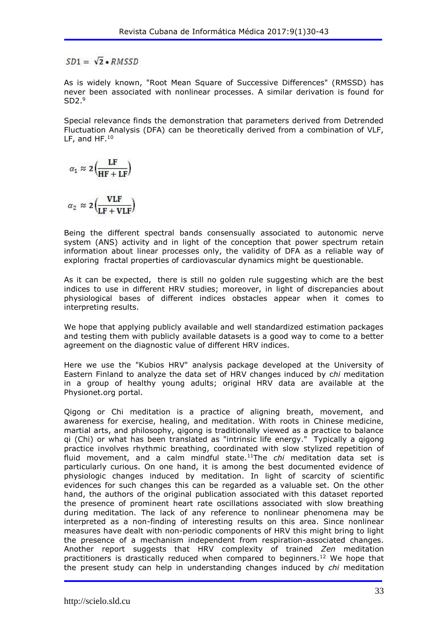$SD1 = \sqrt{2} * RMSSD$ 

As is widely known, "Root Mean Square of Successive Differences" (RMSSD) has never been associated with nonlinear processes. A similar derivation is found for  $SD2.<sup>9</sup>$ 

Special relevance finds the demonstration that parameters derived from Detrended Fluctuation Analysis (DFA) can be theoretically derived from a combination of VLF, LF, and HF.<sup>10</sup>

$$
\alpha_1 \approx 2 \left( \frac{\text{LF}}{\text{HF} + \text{LF}} \right)
$$

 $\alpha_2 \approx 2\left(\frac{1}{1.5 + 1.5}\right)$ 

Being the different spectral bands consensually associated to autonomic nerve system (ANS) activity and in light of the conception that power spectrum retain information about linear processes only, the validity of DFA as a reliable way of exploring fractal properties of cardiovascular dynamics might be questionable.

As it can be expected, there is still no golden rule suggesting which are the best indices to use in different HRV studies; moreover, in light of discrepancies about physiological bases of different indices obstacles appear when it comes to interpreting results.

We hope that applying publicly available and well standardized estimation packages and testing them with publicly available datasets is a good way to come to a better agreement on the diagnostic value of different HRV indices.

Here we use the "Kubios HRV" analysis package developed at the University of Eastern Finland to analyze the data set of HRV changes induced by c*hi* meditation in a group of healthy young adults; original HRV data are available at the Physionet.org portal.

Qigong or Chi meditation is a practice of aligning breath, movement, and awareness for exercise, healing, and meditation. With roots in Chinese medicine, martial arts, and philosophy, qigong is traditionally viewed as a practice to balance qi (Chi) or what has been translated as "intrinsic life energy." Typically a qigong practice involves rhythmic breathing, coordinated with slow stylized repetition of fluid movement, and a calm mindful state.<sup>11</sup>The *chi* meditation data set is particularly curious. On one hand, it is among the best documented evidence of physiologic changes induced by meditation. In light of scarcity of scientific evidences for such changes this can be regarded as a valuable set. On the other hand, the authors of the original publication associated with this dataset reported the presence of prominent heart rate oscillations associated with slow breathing during meditation. The lack of any reference to nonlinear phenomena may be interpreted as a non-finding of interesting results on this area. Since nonlinear measures have dealt with non-periodic components of HRV this might bring to light the presence of a mechanism independent from respiration-associated changes. Another report suggests that HRV complexity of trained *Zen* meditation practitioners is drastically reduced when compared to beginners.<sup>12</sup> We hope that the present study can help in understanding changes induced by *chi* meditation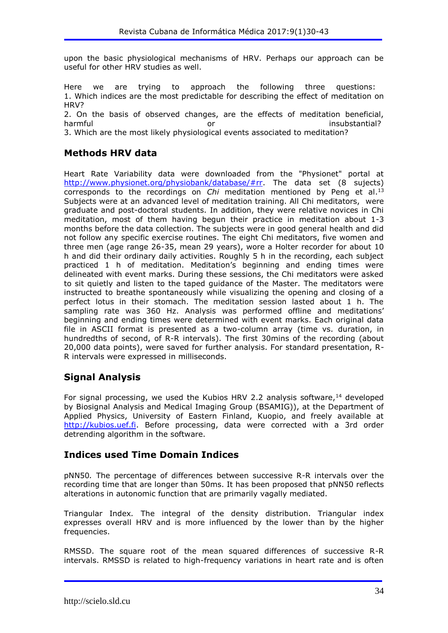upon the basic physiological mechanisms of HRV. Perhaps our approach can be useful for other HRV studies as well.

Here we are trying to approach the following three questions: 1. Which indices are the most predictable for describing the effect of meditation on HRV?

2. On the basis of observed changes, are the effects of meditation beneficial, harmful or insubstantial?

3. Which are the most likely physiological events associated to meditation?

## **Methods HRV data**

Heart Rate Variability data were downloaded from the "Physionet" portal at [http://www.physionet.org/physiobank/database/#rr.](http://www.physionet.org/physiobank/database/) The data set (8 sujects) corresponds to the recordings on *Chi* meditation mentioned by Peng et al.<sup>13</sup> Subjects were at an advanced level of meditation training. All Chi meditators, were graduate and post-doctoral students. In addition, they were relative novices in Chi meditation, most of them having begun their practice in meditation about 1-3 months before the data collection. The subjects were in good general health and did not follow any specific exercise routines. The eight Chi meditators, five women and three men (age range 26-35, mean 29 years), wore a Holter recorder for about 10 h and did their ordinary daily activities. Roughly 5 h in the recording, each subject practiced 1 h of meditation. Meditation's beginning and ending times were delineated with event marks. During these sessions, the Chi meditators were asked to sit quietly and listen to the taped guidance of the Master. The meditators were instructed to breathe spontaneously while visualizing the opening and closing of a perfect lotus in their stomach. The meditation session lasted about 1 h. The sampling rate was 360 Hz. Analysis was performed offline and meditations' beginning and ending times were determined with event marks. Each original data file in ASCII format is presented as a two-column array (time vs. duration, in hundredths of second, of R-R intervals). The first 30mins of the recording (about 20,000 data points), were saved for further analysis. For standard presentation, R-R intervals were expressed in milliseconds.

# **Signal Analysis**

For signal processing, we used the Kubios HRV 2.2 analysis software,  $14$  developed by Biosignal Analysis and Medical Imaging Group (BSAMIG)), at the Department of Applied Physics, University of Eastern Finland, Kuopio, and freely available at [http://kubios.uef.fi.](http://kubios.uef.fi/) Before processing, data were corrected with a 3rd order detrending algorithm in the software.

## **Indices used Time Domain Indices**

pNN50*.* The percentage of differences between successive R-R intervals over the recording time that are longer than 50ms. It has been proposed that pNN50 reflects alterations in autonomic function that are primarily vagally mediated.

Triangular Index*.* The integral of the density distribution. Triangular index expresses overall HRV and is more influenced by the lower than by the higher frequencies.

RMSSD. The square root of the mean squared differences of successive R-R intervals. RMSSD is related to high-frequency variations in heart rate and is often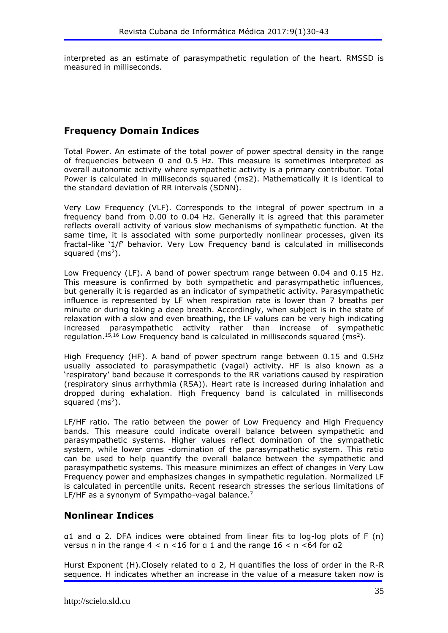interpreted as an estimate of parasympathetic regulation of the heart. RMSSD is measured in milliseconds.

## **Frequency Domain Indices**

Total Power. An estimate of the total power of power spectral density in the range of frequencies between 0 and 0.5 Hz. This measure is sometimes interpreted as overall autonomic activity where sympathetic activity is a primary contributor. Total Power is calculated in milliseconds squared (ms2). Mathematically it is identical to the standard deviation of RR intervals (SDNN).

Very Low Frequency (VLF). Corresponds to the integral of power spectrum in a frequency band from 0.00 to 0.04 Hz. Generally it is agreed that this parameter reflects overall activity of various slow mechanisms of sympathetic function. At the same time, it is associated with some purportedly nonlinear processes, given its fractal-like '1/f' behavior. Very Low Frequency band is calculated in milliseconds squared  $(ms<sup>2</sup>)$ .

Low Frequency (LF). A band of power spectrum range between 0.04 and 0.15 Hz. This measure is confirmed by both sympathetic and parasympathetic influences, but generally it is regarded as an indicator of sympathetic activity. Parasympathetic influence is represented by LF when respiration rate is lower than 7 breaths per minute or during taking a deep breath. Accordingly, when subject is in the state of relaxation with a slow and even breathing, the LF values can be very high indicating increased parasympathetic activity rather than increase of sympathetic regulation.<sup>15,16</sup> Low Frequency band is calculated in milliseconds squared (ms<sup>2</sup>).

High Frequency (HF). A band of power spectrum range between 0.15 and 0.5Hz usually associated to parasympathetic (vagal) activity. HF is also known as a 'respiratory' band because it corresponds to the RR variations caused by respiration (respiratory sinus arrhythmia (RSA)). Heart rate is increased during inhalation and dropped during exhalation. High Frequency band is calculated in milliseconds squared  $(ms<sup>2</sup>)$ .

LF/HF ratio. The ratio between the power of Low Frequency and High Frequency bands. This measure could indicate overall balance between sympathetic and parasympathetic systems. Higher values reflect domination of the sympathetic system, while lower ones -domination of the parasympathetic system. This ratio can be used to help quantify the overall balance between the sympathetic and parasympathetic systems. This measure minimizes an effect of changes in Very Low Frequency power and emphasizes changes in sympathetic regulation. Normalized LF is calculated in percentile units. Recent research stresses the serious limitations of LF/HF as a synonym of Sympatho-vagal balance.<sup>7</sup>

## **Nonlinear Indices**

α1 and α 2*.* DFA indices were obtained from linear fits to log-log plots of F (n) versus n in the range  $4 < n < 16$  for a 1 and the range  $16 < n < 64$  for a2

Hurst Exponent (H).Closely related to α 2, H quantifies the loss of order in the R-R sequence. H indicates whether an increase in the value of a measure taken now is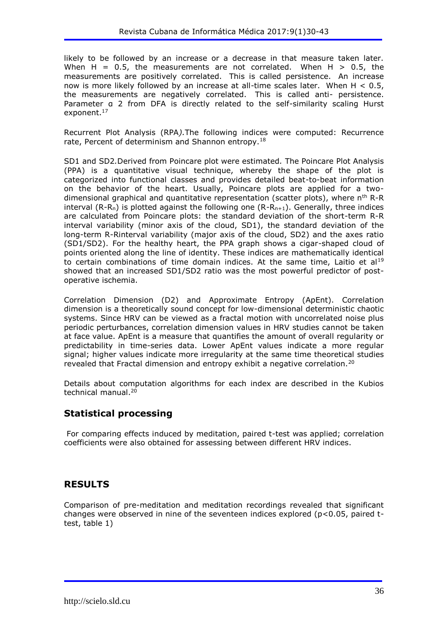likely to be followed by an increase or a decrease in that measure taken later. When H =  $0.5$ , the measurements are not correlated. When H  $> 0.5$ , the measurements are positively correlated. This is called persistence. An increase now is more likely followed by an increase at all-time scales later. When  $H < 0.5$ , the measurements are negatively correlated. This is called anti- persistence. Parameter a 2 from DFA is directly related to the self-similarity scaling Hurst exponent.<sup>17</sup>

Recurrent Plot Analysis (RPA*).*The following indices were computed: Recurrence rate, Percent of determinism and Shannon entropy.<sup>18</sup>

SD1 and SD2*.*Derived from Poincare plot were estimated*.* The Poincare Plot Analysis (PPA) is a quantitative visual technique, whereby the shape of the plot is categorized into functional classes and provides detailed beat-to-beat information on the behavior of the heart. Usually, Poincare plots are applied for a twodimensional graphical and quantitative representation (scatter plots), where  $n<sup>th</sup> R-R$ interval  $(R-R_n)$  is plotted against the following one  $(R-R_{n+1})$ . Generally, three indices are calculated from Poincare plots: the standard deviation of the short-term R-R interval variability (minor axis of the cloud, SD1), the standard deviation of the long-term R-Rinterval variability (major axis of the cloud, SD2) and the axes ratio (SD1/SD2). For the healthy heart, the PPA graph shows a cigar-shaped cloud of points oriented along the line of identity. These indices are mathematically identical to certain combinations of time domain indices. At the same time, Laitio et al<sup>19</sup> showed that an increased SD1/SD2 ratio was the most powerful predictor of postoperative ischemia.

Correlation Dimension (D2) and Approximate Entropy (ApEnt). Correlation dimension is a theoretically sound concept for low-dimensional deterministic chaotic systems. Since HRV can be viewed as a fractal motion with uncorrelated noise plus periodic perturbances, correlation dimension values in HRV studies cannot be taken at face value. ApEnt is a measure that quantifies the amount of overall regularity or predictability in time-series data. Lower ApEnt values indicate a more regular signal; higher values indicate more irregularity at the same time theoretical studies revealed that Fractal dimension and entropy exhibit a negative correlation.<sup>20</sup>

Details about computation algorithms for each index are described in the Kubios technical manual.<sup>20</sup>

## **Statistical processing**

For comparing effects induced by meditation, paired t-test was applied; correlation coefficients were also obtained for assessing between different HRV indices.

## **RESULTS**

Comparison of pre-meditation and meditation recordings revealed that significant changes were observed in nine of the seventeen indices explored ( $p<0.05$ , paired ttest, table 1)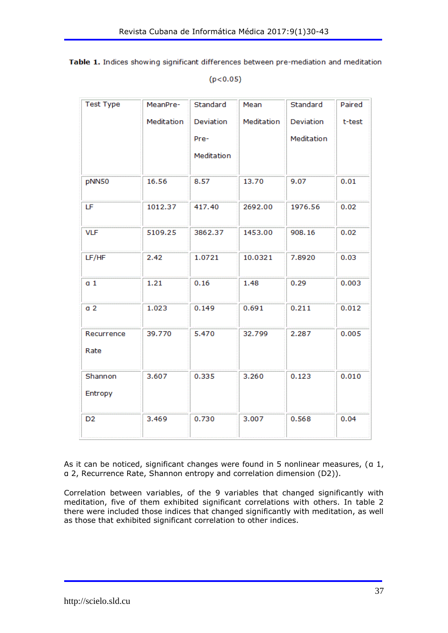|  |  |          | Table 1. Indices showing significant differences between pre-mediation and meditation |  |
|--|--|----------|---------------------------------------------------------------------------------------|--|
|  |  | (p<0.05) |                                                                                       |  |

| <b>Test Type</b>   | MeanPre-   | Standard   | Mean       | Standard   | Paired |
|--------------------|------------|------------|------------|------------|--------|
|                    | Meditation | Deviation  | Meditation | Deviation  | t-test |
|                    |            | Pre-       |            | Meditation |        |
|                    |            | Meditation |            |            |        |
| pNN50              | 16.56      | 8.57       | 13.70      | 9.07       | 0.01   |
| LF                 | 1012.37    | 417.40     | 2692.00    | 1976.56    | 0.02   |
| <b>VLF</b>         | 5109.25    | 3862.37    | 1453.00    | 908.16     | 0.02   |
| LF/HF              | 2.42       | 1.0721     | 10.0321    | 7.8920     | 0.03   |
| a <sub>1</sub>     | 1.21       | 0.16       | 1.48       | 0.29       | 0.003  |
| a <sub>2</sub>     | 1.023      | 0.149      | 0.691      | 0.211      | 0.012  |
| Recurrence<br>Rate | 39.770     | 5.470      | 32.799     | 2.287      | 0.005  |
| Shannon<br>Entropy | 3.607      | 0.335      | 3.260      | 0.123      | 0.010  |
| D <sub>2</sub>     | 3.469      | 0.730      | 3.007      | 0.568      | 0.04   |

As it can be noticed, significant changes were found in 5 nonlinear measures, (a 1, α 2, Recurrence Rate, Shannon entropy and correlation dimension (D2)).

Correlation between variables, of the 9 variables that changed significantly with meditation, five of them exhibited significant correlations with others. In table 2 there were included those indices that changed significantly with meditation, as well as those that exhibited significant correlation to other indices.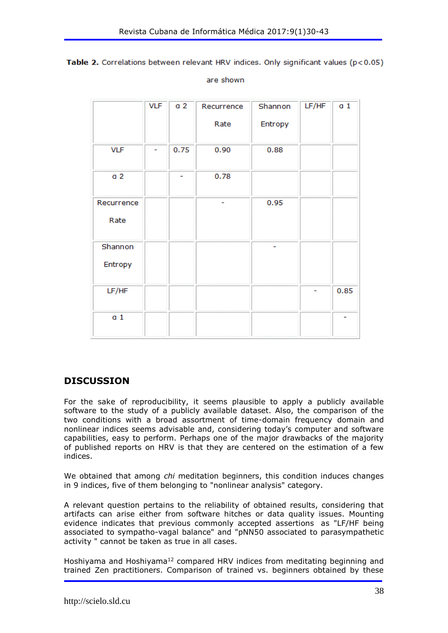Table 2. Correlations between relevant HRV indices. Only significant values ( $p < 0.05$ )

are shown

|                | <b>VLF</b> | a <sub>2</sub> | Recurrence | Shannon | LF/HF | a <sub>1</sub> |
|----------------|------------|----------------|------------|---------|-------|----------------|
|                |            |                | Rate       | Entropy |       |                |
| <b>VLF</b>     |            | 0.75           | 0.90       | 0.88    |       |                |
| a <sub>2</sub> |            |                | 0.78       |         |       |                |
| Recurrence     |            |                |            | 0.95    |       |                |
| Rate           |            |                |            |         |       |                |
| Shannon        |            |                |            |         |       |                |
| Entropy        |            |                |            |         |       |                |
| LF/HF          |            |                |            |         |       | 0.85           |
| a <sub>1</sub> |            |                |            |         |       |                |

## **DISCUSSION**

For the sake of reproducibility, it seems plausible to apply a publicly available software to the study of a publicly available dataset. Also, the comparison of the two conditions with a broad assortment of time-domain frequency domain and nonlinear indices seems advisable and, considering today's computer and software capabilities, easy to perform. Perhaps one of the major drawbacks of the majority of published reports on HRV is that they are centered on the estimation of a few indices.

We obtained that among *chi* meditation beginners, this condition induces changes in 9 indices, five of them belonging to "nonlinear analysis" category.

A relevant question pertains to the reliability of obtained results, considering that artifacts can arise either from software hitches or data quality issues. Mounting evidence indicates that previous commonly accepted assertions as "LF/HF being associated to sympatho-vagal balance" and "pNN50 associated to parasympathetic activity " cannot be taken as true in all cases.

Hoshiyama and Hoshiyama<sup>12</sup> compared HRV indices from meditating beginning and trained Zen practitioners. Comparison of trained vs. beginners obtained by these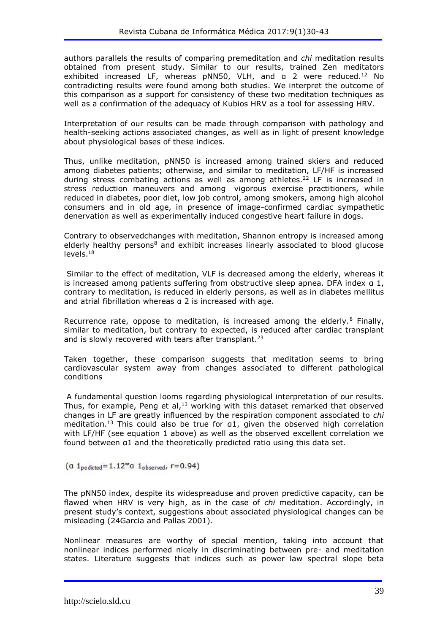authors parallels the results of comparing premeditation and *chi* meditation results obtained from present study. Similar to our results, trained Zen meditators exhibited increased LF, whereas pNN50, VLH, and a 2 were reduced.<sup>12</sup> No contradicting results were found among both studies. We interpret the outcome of this comparison as a support for consistency of these two meditation techniques as well as a confirmation of the adequacy of Kubios HRV as a tool for assessing HRV.

Interpretation of our results can be made through comparison with pathology and health-seeking actions associated changes, as well as in light of present knowledge about physiological bases of these indices.

Thus, unlike meditation, pNN50 is increased among trained skiers and reduced among diabetes patients; otherwise, and similar to meditation, LF/HF is increased during stress combating actions as well as among athletes.<sup>22</sup> LF is increased in stress reduction maneuvers and among vigorous exercise practitioners, while reduced in diabetes, poor diet, low job control, among smokers, among high alcohol consumers and in old age, in presence of image-confirmed cardiac sympathetic denervation as well as experimentally induced congestive heart failure in dogs.

Contrary to observedchanges with meditation, Shannon entropy is increased among elderly healthy persons<sup>8</sup> and exhibit increases linearly associated to blood glucose levels.<sup>18</sup>

Similar to the effect of meditation, VLF is decreased among the elderly, whereas it is increased among patients suffering from obstructive sleep apnea. DFA index α 1, contrary to meditation, is reduced in elderly persons, as well as in diabetes mellitus and atrial fibrillation whereas α 2 is increased with age.

Recurrence rate, oppose to meditation, is increased among the elderly.<sup>8</sup> Finally, similar to meditation, but contrary to expected, is reduced after cardiac transplant and is slowly recovered with tears after transplant.<sup>23</sup>

Taken together, these comparison suggests that meditation seems to bring cardiovascular system away from changes associated to different pathological conditions

A fundamental question looms regarding physiological interpretation of our results. Thus, for example, Peng et al, $13$  working with this dataset remarked that observed changes in LF are greatly influenced by the respiration component associated to *chi* meditation.<sup>13</sup> This could also be true for a1, given the observed high correlation with LF/HF (see equation 1 above) as well as the observed excellent correlation we found between α1 and the theoretically predicted ratio using this data set.

(a  $1_{\text{predicted}} = 1.12 \text{ *}$ a  $1_{\text{observed}}$ , r=0.94)

The pNN50 index, despite its widespreaduse and proven predictive capacity, can be flawed when HRV is very high, as in the case of *chi* meditation. Accordingly, in present study's context, suggestions about associated physiological changes can be misleading (24Garcia and Pallas 2001).

Nonlinear measures are worthy of special mention, taking into account that nonlinear indices performed nicely in discriminating between pre- and meditation states. Literature suggests that indices such as power law spectral slope beta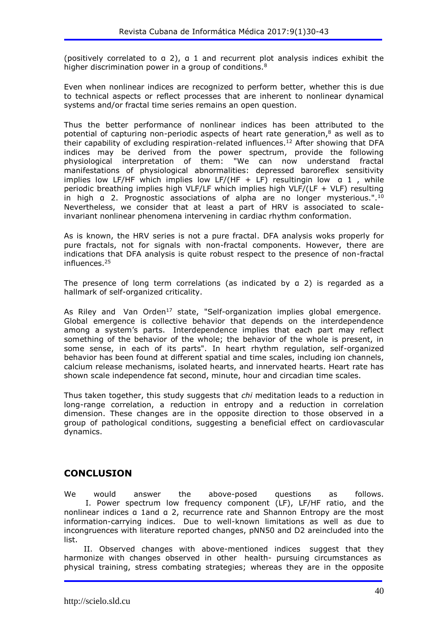(positively correlated to α 2), α 1 and recurrent plot analysis indices exhibit the higher discrimination power in a group of conditions.<sup>8</sup>

Even when nonlinear indices are recognized to perform better, whether this is due to technical aspects or reflect processes that are inherent to nonlinear dynamical systems and/or fractal time series remains an open question.

Thus the better performance of nonlinear indices has been attributed to the potential of capturing non-periodic aspects of heart rate generation, $8$  as well as to their capability of excluding respiration-related influences.<sup>12</sup> After showing that DFA indices may be derived from the power spectrum, provide the following physiological interpretation of them: "We can now understand fractal manifestations of physiological abnormalities: depressed baroreflex sensitivity implies low LF/HF which implies low LF/(HF + LF) resultingin low  $a$  1, while periodic breathing implies high VLF/LF which implies high VLF/(LF + VLF) resulting in high a 2. Prognostic associations of alpha are no longer mysterious.".<sup>10</sup> Nevertheless, we consider that at least a part of HRV is associated to scaleinvariant nonlinear phenomena intervening in cardiac rhythm conformation.

As is known, the HRV series is not a pure fractal. DFA analysis woks properly for pure fractals, not for signals with non-fractal components. However, there are indications that DFA analysis is quite robust respect to the presence of non-fractal influences.<sup>25</sup>

The presence of long term correlations (as indicated by a 2) is regarded as a hallmark of self-organized criticality.

As Riley and Van Orden<sup>17</sup> state, "Self-organization implies global emergence. Global emergence is collective behavior that depends on the interdependence among a system's parts. Interdependence implies that each part may reflect something of the behavior of the whole; the behavior of the whole is present, in some sense, in each of its parts". In heart rhythm regulation, self-organized behavior has been found at different spatial and time scales, including ion channels, calcium release mechanisms, isolated hearts, and innervated hearts. Heart rate has shown scale independence fat second, minute, hour and circadian time scales.

Thus taken together, this study suggests that *chi* meditation leads to a reduction in long-range correlation, a reduction in entropy and a reduction in correlation dimension. These changes are in the opposite direction to those observed in a group of pathological conditions, suggesting a beneficial effect on cardiovascular dynamics.

## **CONCLUSION**

We would answer the above-posed questions as follows. I. Power spectrum low frequency component (LF), LF/HF ratio, and the nonlinear indices α 1and α 2, recurrence rate and Shannon Entropy are the most information-carrying indices. Due to well-known limitations as well as due to incongruences with literature reported changes, pNN50 and D2 areincluded into the list.

 II. Observed changes with above-mentioned indices suggest that they harmonize with changes observed in other health- pursuing circumstances as physical training, stress combating strategies; whereas they are in the opposite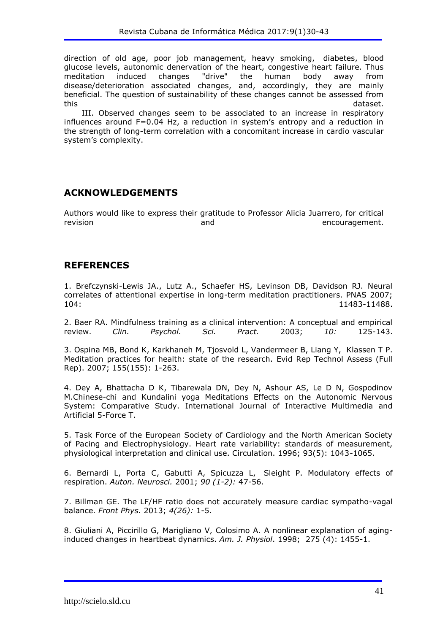direction of old age, poor job management, heavy smoking, diabetes, blood glucose levels, autonomic denervation of the heart, congestive heart failure. Thus meditation induced changes "drive" the human body away from disease/deterioration associated changes, and, accordingly, they are mainly beneficial. The question of sustainability of these changes cannot be assessed from this dataset.

 III. Observed changes seem to be associated to an increase in respiratory influences around F=0.04 Hz, a reduction in system's entropy and a reduction in the strength of long-term correlation with a concomitant increase in cardio vascular system's complexity.

#### **ACKNOWLEDGEMENTS**

Authors would like to express their gratitude to Professor Alicia Juarrero, for critical revision and encouragement.

#### **REFERENCES**

1. Brefczynski-Lewis JA., Lutz A., Schaefer HS, Levinson DB, Davidson RJ. Neural correlates of attentional expertise in long-term meditation practitioners. PNAS 2007; 104: 11483-11488.

2. Baer RA. Mindfulness training as a clinical intervention: A conceptual and empirical review. *Clin. Psychol. Sci. Pract.* 2003; *10:* 125-143.

3. Ospina MB, Bond K, Karkhaneh M, Tjosvold L, Vandermeer B, Liang Y, Klassen T P. Meditation practices for health: state of the research. Evid Rep Technol Assess (Full Rep). 2007; 155(155): 1-263.

4. Dey A, Bhattacha D K, Tibarewala DN, Dey N, Ashour AS, Le D N, Gospodinov M.Chinese-chi and Kundalini yoga Meditations Effects on the Autonomic Nervous System: Comparative Study. International Journal of Interactive Multimedia and Artificial 5-Force T.

5. Task Force of the European Society of Cardiology and the North American Society of Pacing and Electrophysiology. Heart rate variability: standards of measurement, physiological interpretation and clinical use. Circulation. 1996; 93(5): 1043-1065.

6. Bernardi L, Porta C, Gabutti A, Spicuzza L, Sleight P. Modulatory effects of respiration. *Auton. Neurosci.* 2001; *90 (1-2):* 47-56.

7. Billman GE. The LF/HF ratio does not accurately measure cardiac sympatho-vagal balance. *Front Phys.* 2013; *4(26):* 1-5.

8. Giuliani A, Piccirillo G, Marigliano V, Colosimo A. A nonlinear explanation of aginginduced changes in heartbeat dynamics. *Am. J. Physiol*. 1998; 275 (4): 1455-1.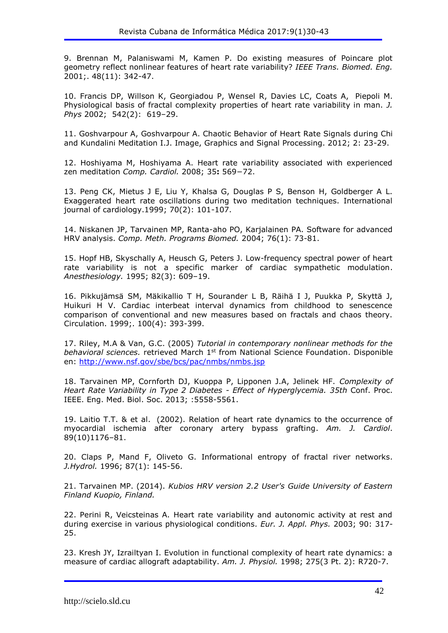9. Brennan M, Palaniswami M, Kamen P. Do existing measures of Poincare plot geometry reflect nonlinear features of heart rate variability? *IEEE Trans. Biomed. Eng.* 2001;. 48(11): 342-47.

10. Francis DP, Willson K, Georgiadou P, Wensel R, Davies LC, Coats A, Piepoli M. Physiological basis of fractal complexity properties of heart rate variability in man. *J. Phys* 2002; 542(2): 619–29.

11. Goshvarpour A, Goshvarpour A. Chaotic Behavior of Heart Rate Signals during Chi and Kundalini Meditation I.J. Image, Graphics and Signal Processing. 2012; 2: 23-29.

12. Hoshiyama M, Hoshiyama A. Heart rate variability associated with experienced zen meditation *Comp. Cardiol.* 2008; 35**:** 569−72.

13. Peng CK, Mietus J E, Liu Y, Khalsa G, Douglas P S, Benson H, Goldberger A L. Exaggerated heart rate oscillations during two meditation techniques. International journal of cardiology.1999; 70(2): 101-107.

14. Niskanen JP, Tarvainen MP, Ranta-aho PO, Karjalainen PA. Software for advanced HRV analysis. *Comp. Meth. Programs Biomed.* 2004; 76(1): 73-81.

15. Hopf HB, Skyschally A, Heusch G, Peters J. Low-frequency spectral power of heart rate variability is not a specific marker of cardiac sympathetic modulation. *Anesthesiology.* 1995; 82(3): 609–19.

16. Pikkujämsä SM, Mäkikallio T H, Sourander L B, Räihä I J, Puukka P, Skyttä J, Huikuri H V. Cardiac interbeat interval dynamics from childhood to senescence comparison of conventional and new measures based on fractals and chaos theory. Circulation. 1999;. 100(4): 393-399.

17. Riley, M.A & Van, G.C. (2005) *Tutorial in contemporary nonlinear methods for the behavioral sciences.* retrieved March 1st from National Science Foundation. Disponible en:<http://www.nsf.gov/sbe/bcs/pac/nmbs/nmbs.jsp>

18. Tarvainen MP, Cornforth DJ, Kuoppa P, Lipponen J.A, Jelinek HF. *Complexity of Heart Rate Variability in Type 2 Diabetes - Effect of Hyperglycemia. 35th* Conf. Proc. IEEE. Eng. Med. Biol. Soc. 2013; :5558-5561.

19. Laitio T.T. & et al. (2002). Relation of heart rate dynamics to the occurrence of myocardial ischemia after coronary artery bypass grafting. *Am. J. Cardiol*. 89(10)1176–81.

20. Claps P, Mand F, Oliveto G. Informational entropy of fractal river networks. *J.Hydrol.* 1996; 87(1): 145-56.

21. Tarvainen MP. (2014). *Kubios HRV version 2.2 User's Guide University of Eastern Finland Kuopio, Finland.*

22. Perini R, Veicsteinas A. Heart rate variability and autonomic activity at rest and during exercise in various physiological conditions. *Eur. J. Appl. Phys.* 2003; 90: 317- 25.

23. Kresh JY, Izrailtyan I. Evolution in functional complexity of heart rate dynamics: a measure of cardiac allograft adaptability. *Am. J. Physiol.* 1998; 275(3 Pt. 2): R720-7.